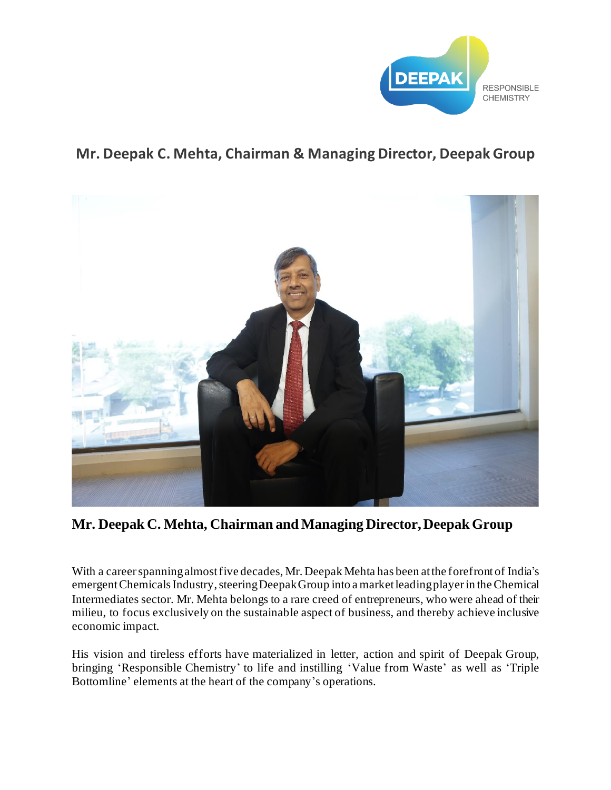

## **Mr. Deepak C. Mehta, Chairman & Managing Director, Deepak Group**



**Mr. Deepak C. Mehta, Chairman and Managing Director, Deepak Group**

With a career spanning almost five decades, Mr. Deepak Mehta has been at the forefront of India's emergent Chemicals Industry, steering Deepak Group into a market leading playerin the Chemical Intermediates sector. Mr. Mehta belongs to a rare creed of entrepreneurs, who were ahead of their milieu, to focus exclusively on the sustainable aspect of business, and thereby achieve inclusive economic impact.

His vision and tireless efforts have materialized in letter, action and spirit of Deepak Group, bringing 'Responsible Chemistry' to life and instilling 'Value from Waste' as well as 'Triple Bottomline' elements at the heart of the company's operations.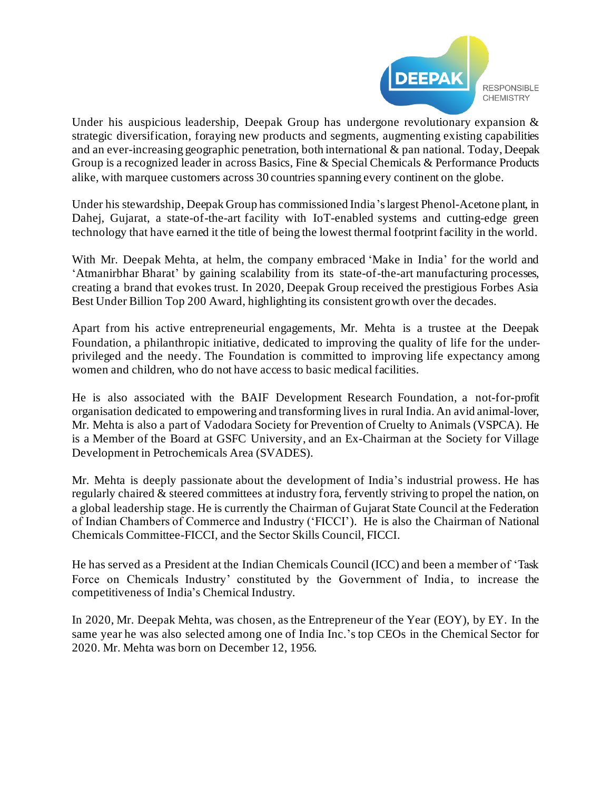

Under his auspicious leadership, Deepak Group has undergone revolutionary expansion & strategic diversification, foraying new products and segments, augmenting existing capabilities and an ever-increasing geographic penetration, both international & pan national. Today, Deepak Group is a recognized leader in across Basics, Fine & Special Chemicals & Performance Products alike, with marquee customers across 30 countries spanning every continent on the globe.

Under his stewardship, Deepak Group has commissioned India's largest Phenol-Acetone plant, in Dahej, Gujarat, a state-of-the-art facility with IoT-enabled systems and cutting-edge green technology that have earned it the title of being the lowest thermal footprint facility in the world.

With Mr. Deepak Mehta, at helm, the company embraced 'Make in India' for the world and 'Atmanirbhar Bharat' by gaining scalability from its state-of-the-art manufacturing processes, creating a brand that evokes trust. In 2020, Deepak Group received the prestigious Forbes Asia Best Under Billion Top 200 Award, highlighting its consistent growth over the decades.

Apart from his active entrepreneurial engagements, Mr. Mehta is a trustee at the Deepak Foundation, a philanthropic initiative, dedicated to improving the quality of life for the underprivileged and the needy. The Foundation is committed to improving life expectancy among women and children, who do not have access to basic medical facilities.

He is also associated with the BAIF Development Research Foundation, a not-for-profit organisation dedicated to empowering and transforming lives in rural India. An avid animal-lover, Mr. Mehta is also a part of Vadodara Society for Prevention of Cruelty to Animals (VSPCA). He is a Member of the Board at GSFC University, and an Ex-Chairman at the Society for Village Development in Petrochemicals Area (SVADES).

Mr. Mehta is deeply passionate about the development of India's industrial prowess. He has regularly chaired & steered committees at industry fora, fervently striving to propel the nation, on a global leadership stage. He is currently the Chairman of Gujarat State Council at the Federation of Indian Chambers of Commerce and Industry ('FICCI'). He is also the Chairman of National Chemicals Committee-FICCI, and the Sector Skills Council, FICCI.

He has served as a President at the Indian Chemicals Council (ICC) and been a member of 'Task Force on Chemicals Industry' constituted by the Government of India, to increase the competitiveness of India's Chemical Industry.

In 2020, Mr. Deepak Mehta, was chosen, as the Entrepreneur of the Year (EOY), by EY. In the same year he was also selected among one of India Inc.'s top CEOs in the Chemical Sector for 2020. Mr. Mehta was born on December 12, 1956.